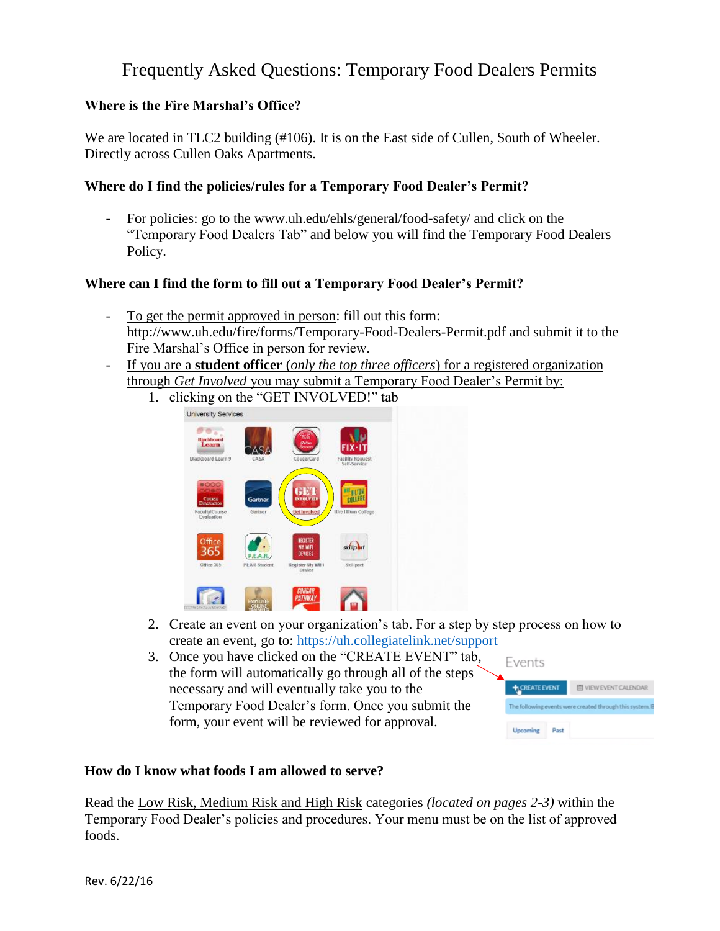# Frequently Asked Questions: Temporary Food Dealers Permits

## **Where is the Fire Marshal's Office?**

We are located in TLC2 building (#106). It is on the East side of Cullen, South of Wheeler. Directly across Cullen Oaks Apartments.

## **Where do I find the policies/rules for a Temporary Food Dealer's Permit?**

For policies: go to the www.uh.edu/ehls/general/food-safety/ and click on the "Temporary Food Dealers Tab" and below you will find the Temporary Food Dealers Policy.

## **Where can I find the form to fill out a Temporary Food Dealer's Permit?**

- To get the permit approved in person: fill out this form: http://www.uh.edu/fire/forms/Temporary-Food-Dealers-Permit.pdf and submit it to the Fire Marshal's Office in person for review.
- If you are a **student officer** (*only the top three officers*) for a registered organization through *Get Involved* you may submit a Temporary Food Dealer's Permit by:
	- 1. clicking on the "GET INVOLVED!" tab



- 2. Create an event on your organization's tab. For a step by step process on how to create an event, go to:<https://uh.collegiatelink.net/support>
- 3. Once you have clicked on the "CREATE EVENT" tab, the form will automatically go through all of the steps necessary and will eventually take you to the Temporary Food Dealer's form. Once you submit the form, your event will be reviewed for approval.



## **How do I know what foods I am allowed to serve?**

Read the Low Risk, Medium Risk and High Risk categories *(located on pages 2-3)* within the Temporary Food Dealer's policies and procedures. Your menu must be on the list of approved foods.